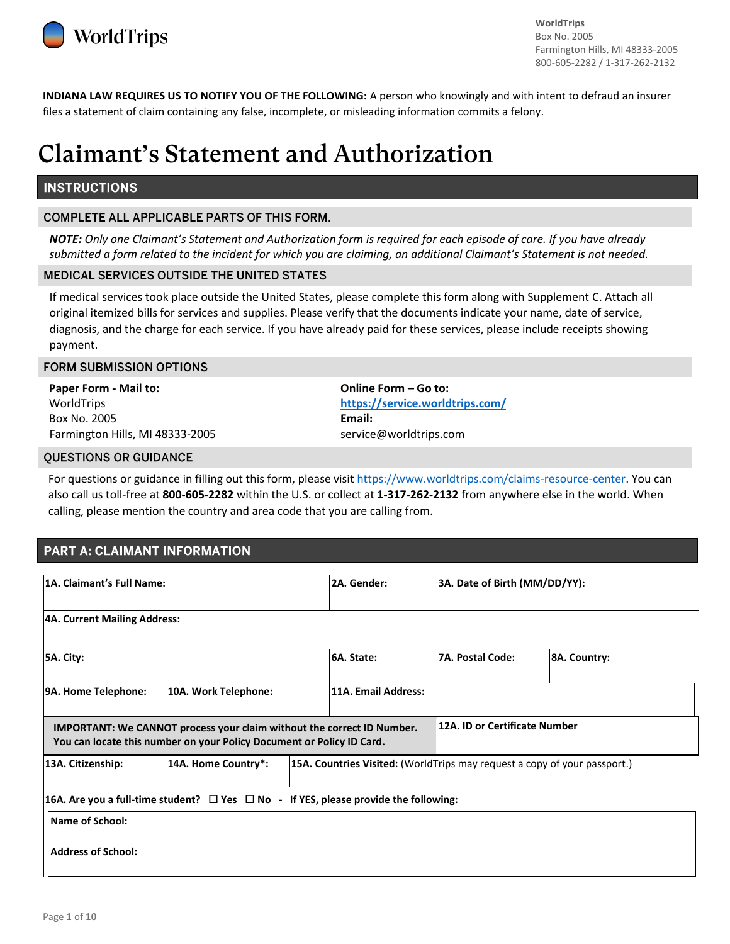

**WorldTrips** Box No. 2005 Farmington Hills, MI 48333-2005 800-605-2282 / 1-317-262-2132

**INDIANA LAW REQUIRES US TO NOTIFY YOU OF THE FOLLOWING:** A person who knowingly and with intent to defraud an insurer files a statement of claim containing any false, incomplete, or misleading information commits a felony.

# **Claimant's Statement and Authorization**

## **INSTRUCTIONS**

#### **COMPLETE ALL APPLICABLE PARTS OF THIS FORM.**

*NOTE: Only one Claimant's Statement and Authorization form is required for each episode of care. If you have already submitted a form related to the incident for which you are claiming, an additional Claimant's Statement is not needed.*

#### MEDICAL SERVICES OUTSIDE THE UNITED STATES

If medical services took place outside the United States, please complete this form along with Supplement C. Attach all original itemized bills for services and supplies. Please verify that the documents indicate your name, date of service, diagnosis, and the charge for each service. If you have already paid for these services, please include receipts showing payment.

#### FORM SUBMISSION OPTIONS

**Paper Form - Mail to:**  WorldTrips Box No. 2005 Farmington Hills, MI 48333-2005 **Online Form – Go to: <https://service.worldtrips.com/> Email:** service@worldtrips.com

#### QUESTIONS OR GUIDANCE

For questions or guidance in filling out this form, please visi[t https://www.worldtrips.com/claims-resource-center.](https://www.worldtrips.com/claims-resource-center) You can also call us toll-free at **800-605-2282** within the U.S. or collect at **1‐317‐262‐2132** from anywhere else in the world. When calling, please mention the country and area code that you are calling from.

## PART A: CLAIMANT INFORMATION

| 1A. Claimant's Full Name:                                                                                                                              |                                                                                                | 2A. Gender:         | 3A. Date of Birth (MM/DD/YY):                                             |                               |  |
|--------------------------------------------------------------------------------------------------------------------------------------------------------|------------------------------------------------------------------------------------------------|---------------------|---------------------------------------------------------------------------|-------------------------------|--|
| 4A. Current Mailing Address:                                                                                                                           |                                                                                                |                     |                                                                           |                               |  |
| 5A. City:                                                                                                                                              |                                                                                                | 6A. State:          | <b>7A. Postal Code:</b>                                                   | 8A. Country:                  |  |
| 9A. Home Telephone:<br>10A. Work Telephone:                                                                                                            |                                                                                                | 11A. Email Address: |                                                                           |                               |  |
| <b>IMPORTANT: We CANNOT process your claim without the correct ID Number.</b><br>You can locate this number on your Policy Document or Policy ID Card. |                                                                                                |                     |                                                                           | 12A. ID or Certificate Number |  |
| 13A. Citizenship:                                                                                                                                      | 14A. Home Country*:                                                                            |                     | 15A. Countries Visited: (WorldTrips may request a copy of your passport.) |                               |  |
|                                                                                                                                                        | 16A. Are you a full-time student? $\Box$ Yes $\Box$ No - If YES, please provide the following: |                     |                                                                           |                               |  |
| <b>Name of School:</b>                                                                                                                                 |                                                                                                |                     |                                                                           |                               |  |
| <b>Address of School:</b>                                                                                                                              |                                                                                                |                     |                                                                           |                               |  |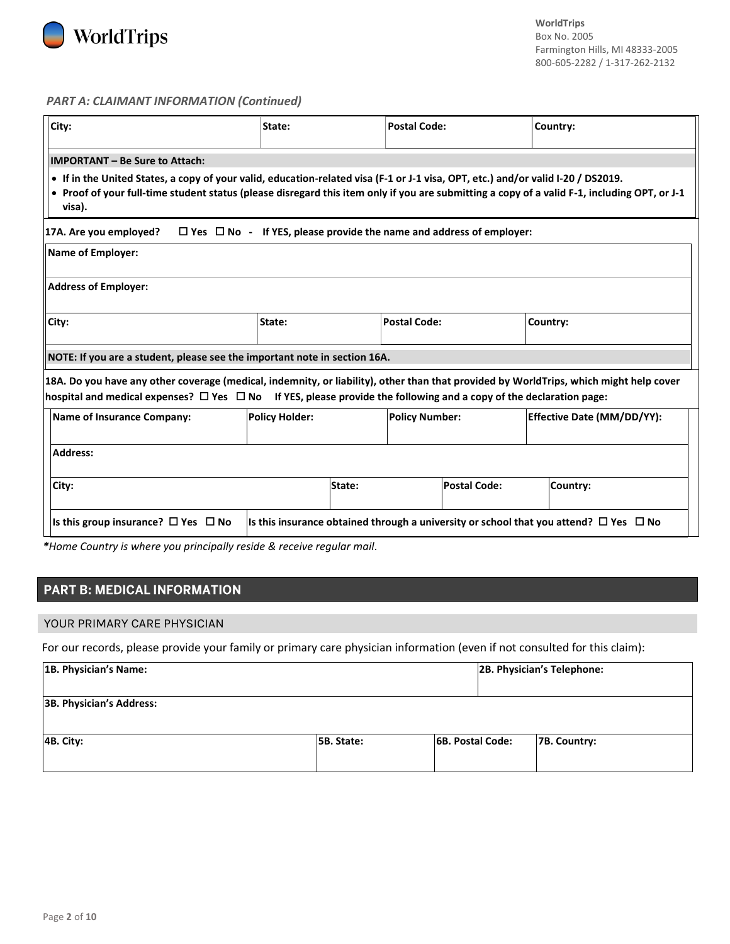

#### *PART A: CLAIMANT INFORMATION (Continued)*

| City:                                                                                                                                                                                                                                                                                      | State:                | <b>Postal Code:</b>                                                                             | Country:                          |  |  |
|--------------------------------------------------------------------------------------------------------------------------------------------------------------------------------------------------------------------------------------------------------------------------------------------|-----------------------|-------------------------------------------------------------------------------------------------|-----------------------------------|--|--|
| <b>IMPORTANT - Be Sure to Attach:</b>                                                                                                                                                                                                                                                      |                       |                                                                                                 |                                   |  |  |
| • If in the United States, a copy of your valid, education-related visa (F-1 or J-1 visa, OPT, etc.) and/or valid I-20 / DS2019.<br>• Proof of your full-time student status (please disregard this item only if you are submitting a copy of a valid F-1, including OPT, or J-1<br>visa). |                       |                                                                                                 |                                   |  |  |
| 17A. Are you employed?                                                                                                                                                                                                                                                                     |                       | $\Box$ Yes $\Box$ No - If YES, please provide the name and address of employer:                 |                                   |  |  |
| Name of Employer:                                                                                                                                                                                                                                                                          |                       |                                                                                                 |                                   |  |  |
| <b>Address of Employer:</b>                                                                                                                                                                                                                                                                |                       |                                                                                                 |                                   |  |  |
| City:                                                                                                                                                                                                                                                                                      | State:                | <b>Postal Code:</b>                                                                             | Country:                          |  |  |
| NOTE: If you are a student, please see the important note in section 16A.                                                                                                                                                                                                                  |                       |                                                                                                 |                                   |  |  |
| 18A. Do you have any other coverage (medical, indemnity, or liability), other than that provided by WorldTrips, which might help cover<br>hospital and medical expenses? $\Box$ Yes $\Box$ No If YES, please provide the following and a copy of the declaration page:                     |                       |                                                                                                 |                                   |  |  |
| <b>Name of Insurance Company:</b>                                                                                                                                                                                                                                                          | <b>Policy Holder:</b> | <b>Policy Number:</b>                                                                           | <b>Effective Date (MM/DD/YY):</b> |  |  |
| <b>Address:</b>                                                                                                                                                                                                                                                                            |                       |                                                                                                 |                                   |  |  |
| City:                                                                                                                                                                                                                                                                                      | State:                | <b>Postal Code:</b>                                                                             | Country:                          |  |  |
| Is this group insurance? $\Box$ Yes $\Box$ No                                                                                                                                                                                                                                              |                       | Is this insurance obtained through a university or school that you attend? $\Box$ Yes $\Box$ No |                                   |  |  |

*\*Home Country is where you principally reside & receive regular mail.*

# PART B: MEDICAL INFORMATION

#### YOUR PRIMARY CARE PHYSICIAN

For our records, please provide your family or primary care physician information (even if not consulted for this claim):

| 1B. Physician's Name:           |            |                         | 2B. Physician's Telephone: |
|---------------------------------|------------|-------------------------|----------------------------|
| <b>3B. Physician's Address:</b> |            |                         |                            |
| $\vert$ 4B. City:               | 5B. State: | <b>6B. Postal Code:</b> | 7B. Country:               |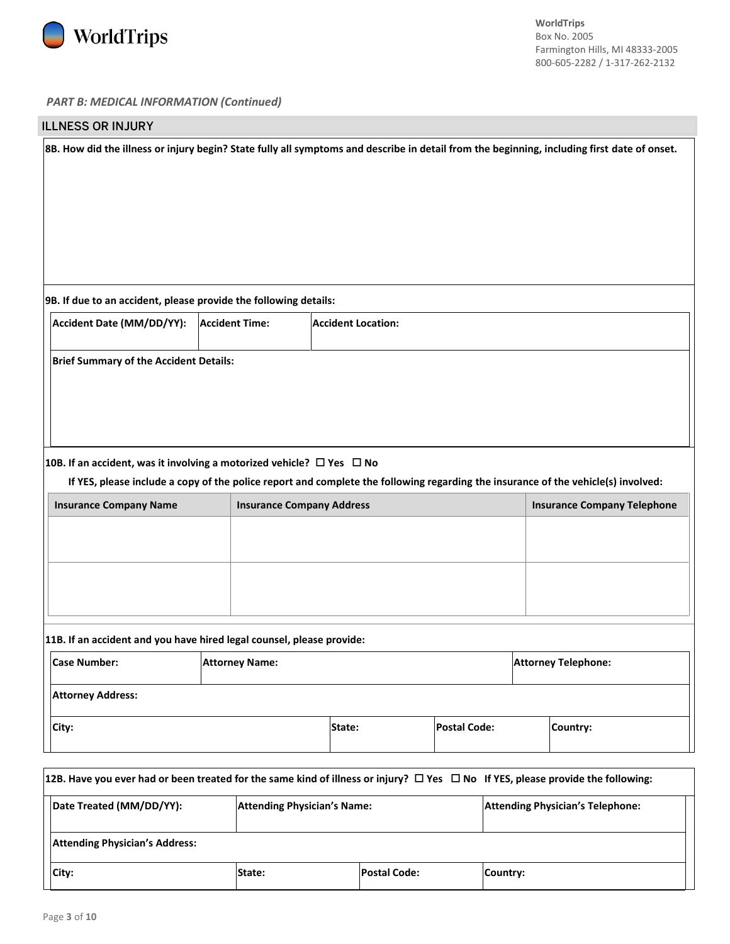

#### *PART B: MEDICAL INFORMATION (Continued)*

| <b>ILLNESS OR INJURY</b>                                                                                                                    |                                                                                                                                                                                                                                                                       |                                  |                           |  |                     |  |                                    |
|---------------------------------------------------------------------------------------------------------------------------------------------|-----------------------------------------------------------------------------------------------------------------------------------------------------------------------------------------------------------------------------------------------------------------------|----------------------------------|---------------------------|--|---------------------|--|------------------------------------|
| 8B. How did the illness or injury begin? State fully all symptoms and describe in detail from the beginning, including first date of onset. |                                                                                                                                                                                                                                                                       |                                  |                           |  |                     |  |                                    |
| 9B. If due to an accident, please provide the following details:                                                                            |                                                                                                                                                                                                                                                                       |                                  |                           |  |                     |  |                                    |
| Accident Date (MM/DD/YY):                                                                                                                   |                                                                                                                                                                                                                                                                       | <b>Accident Time:</b>            | <b>Accident Location:</b> |  |                     |  |                                    |
|                                                                                                                                             | <b>Brief Summary of the Accident Details:</b><br>10B. If an accident, was it involving a motorized vehicle? $\Box$ Yes $\Box$ No<br>If YES, please include a copy of the police report and complete the following regarding the insurance of the vehicle(s) involved: |                                  |                           |  |                     |  |                                    |
| <b>Insurance Company Name</b>                                                                                                               |                                                                                                                                                                                                                                                                       | <b>Insurance Company Address</b> |                           |  |                     |  | <b>Insurance Company Telephone</b> |
|                                                                                                                                             |                                                                                                                                                                                                                                                                       |                                  |                           |  |                     |  |                                    |
|                                                                                                                                             | 11B. If an accident and you have hired legal counsel, please provide:                                                                                                                                                                                                 |                                  |                           |  |                     |  |                                    |
| <b>Case Number:</b>                                                                                                                         | <b>Attorney Telephone:</b><br><b>Attorney Name:</b>                                                                                                                                                                                                                   |                                  |                           |  |                     |  |                                    |
| <b>Attorney Address:</b>                                                                                                                    |                                                                                                                                                                                                                                                                       |                                  |                           |  |                     |  |                                    |
| City:                                                                                                                                       |                                                                                                                                                                                                                                                                       |                                  | State:                    |  | <b>Postal Code:</b> |  | Country:                           |

| 12B. Have you ever had or been treated for the same kind of illness or injury? $\Box$ Yes $\Box$ No If YES, please provide the following: |  |  |  |  |  |
|-------------------------------------------------------------------------------------------------------------------------------------------|--|--|--|--|--|
| Date Treated (MM/DD/YY):<br><b>Attending Physician's Telephone:</b><br><b>Attending Physician's Name:</b>                                 |  |  |  |  |  |
| <b>Attending Physician's Address:</b>                                                                                                     |  |  |  |  |  |
| <b>Postal Code:</b><br>City:<br>State:<br>Country:                                                                                        |  |  |  |  |  |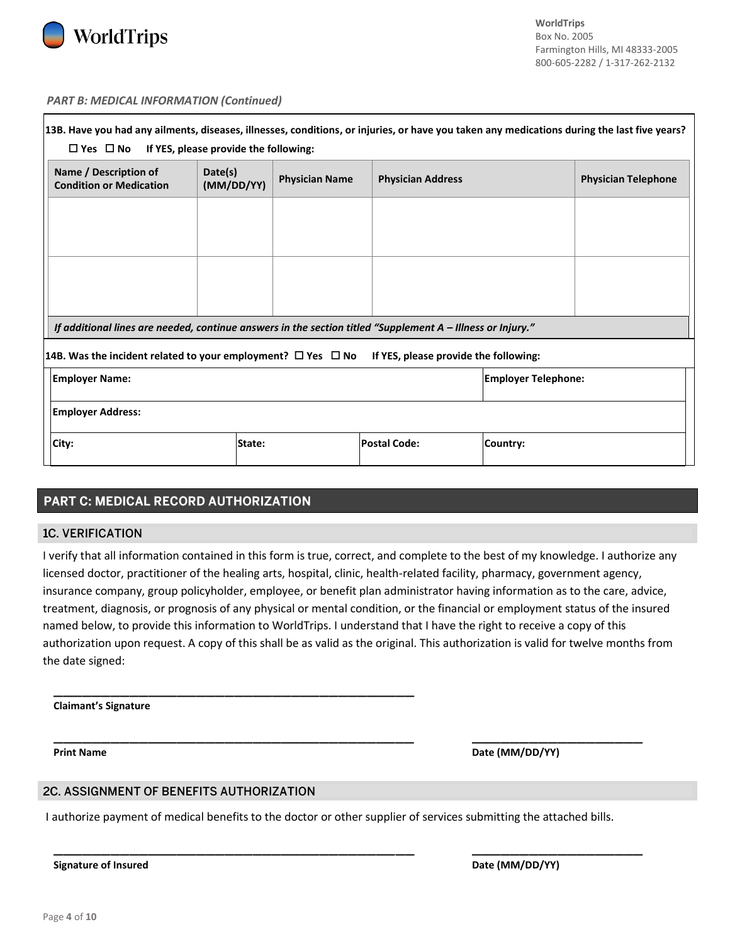

#### *PART B: MEDICAL INFORMATION (Continued)*

| 13B. Have you had any ailments, diseases, illnesses, conditions, or injuries, or have you taken any medications during the last five years?<br>$\Box$ Yes $\Box$ No | If YES, please provide the following: |                       |                          |          |                            |
|---------------------------------------------------------------------------------------------------------------------------------------------------------------------|---------------------------------------|-----------------------|--------------------------|----------|----------------------------|
| Name / Description of<br><b>Condition or Medication</b>                                                                                                             | Date(s)<br>(MM/DD/YY)                 | <b>Physician Name</b> | <b>Physician Address</b> |          | <b>Physician Telephone</b> |
|                                                                                                                                                                     |                                       |                       |                          |          |                            |
|                                                                                                                                                                     |                                       |                       |                          |          |                            |
|                                                                                                                                                                     |                                       |                       |                          |          |                            |
| If additional lines are needed, continue answers in the section titled "Supplement A - Illness or Injury."                                                          |                                       |                       |                          |          |                            |
| 14B. Was the incident related to your employment? $\Box$ Yes $\Box$ No If YES, please provide the following:                                                        |                                       |                       |                          |          |                            |
| <b>Employer Name:</b><br><b>Employer Telephone:</b>                                                                                                                 |                                       |                       |                          |          |                            |
| <b>Employer Address:</b>                                                                                                                                            |                                       |                       |                          |          |                            |
| City:                                                                                                                                                               | State:                                |                       | <b>Postal Code:</b>      | Country: |                            |

## PART C: MEDICAL RECORD AUTHORIZATION

#### **1C. VERIFICATION**

I verify that all information contained in this form is true, correct, and complete to the best of my knowledge. I authorize any licensed doctor, practitioner of the healing arts, hospital, clinic, health-related facility, pharmacy, government agency, insurance company, group policyholder, employee, or benefit plan administrator having information as to the care, advice, treatment, diagnosis, or prognosis of any physical or mental condition, or the financial or employment status of the insured named below, to provide this information to WorldTrips. I understand that I have the right to receive a copy of this authorization upon request. A copy of this shall be as valid as the original. This authorization is valid for twelve months from the date signed:

#### **Claimant's Signature**

**Print Name Date (MM/DD/YY) Date (MM/DD/YY)** 

#### 2C. ASSIGNMENT OF BENEFITS AUTHORIZATION

\_\_\_\_\_\_\_\_\_\_\_\_\_\_\_\_\_\_\_\_\_\_\_\_\_\_\_\_\_\_\_\_\_\_\_\_\_\_

I authorize payment of medical benefits to the doctor or other supplier of services submitting the attached bills.

\_\_\_\_\_\_\_\_\_\_\_\_\_\_\_\_\_\_\_\_\_\_\_\_\_\_\_\_\_\_\_\_\_\_\_\_\_\_ \_\_\_\_\_\_\_\_\_\_\_\_\_\_\_\_\_\_

\_\_\_\_\_\_\_\_\_\_\_\_\_\_\_\_\_\_\_\_\_\_\_\_\_\_\_\_\_\_\_\_\_\_\_\_\_\_ \_\_\_\_\_\_\_\_\_\_\_\_\_\_\_\_\_\_

**Signature of Insured Case 2018 19 and 2018 19 and 2018 19 and 2018 19 and 2018 19 and 2018 19 and 2018 19 and 2018 19 and 2018 19 and 2018 19 and 2018 19 and 2019 19 and 2019 19 and 2019 19 and 2019 19 and 2019 19 and 201**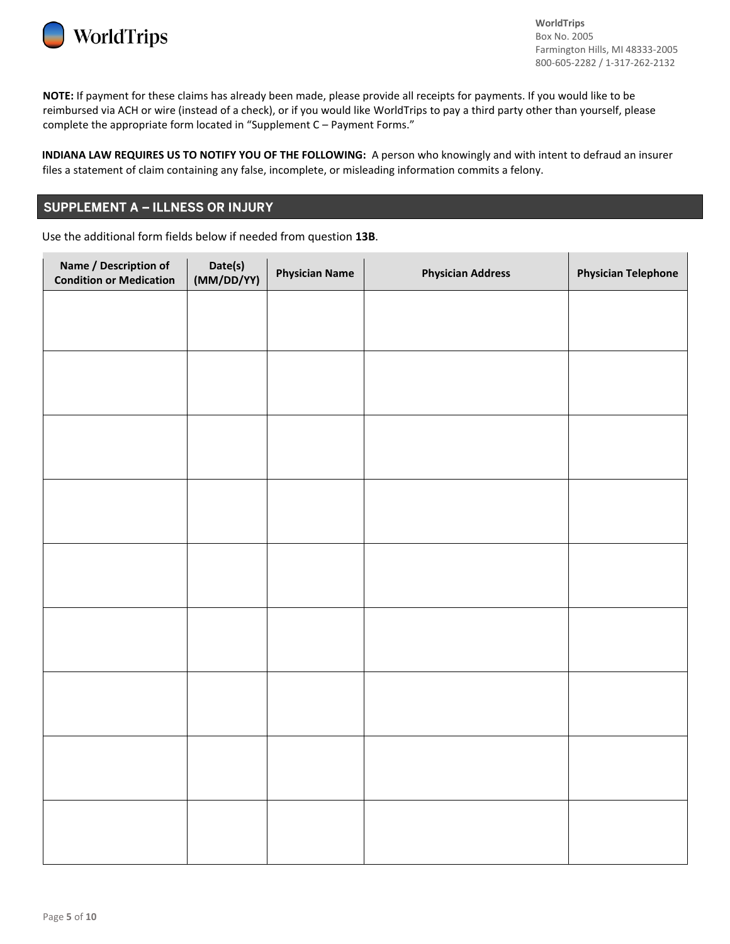

**NOTE:** If payment for these claims has already been made, please provide all receipts for payments. If you would like to be reimbursed via ACH or wire (instead of a check), or if you would like WorldTrips to pay a third party other than yourself, please complete the appropriate form located in "Supplement C – Payment Forms."

**INDIANA LAW REQUIRES US TO NOTIFY YOU OF THE FOLLOWING:** A person who knowingly and with intent to defraud an insurer files a statement of claim containing any false, incomplete, or misleading information commits a felony.

## **SUPPLEMENT A - ILLNESS OR INJURY**

Use the additional form fields below if needed from question **13B**.

| Name / Description of<br><b>Condition or Medication</b> | Date(s)<br>(MM/DD/YY) | <b>Physician Name</b> | <b>Physician Address</b> | <b>Physician Telephone</b> |
|---------------------------------------------------------|-----------------------|-----------------------|--------------------------|----------------------------|
|                                                         |                       |                       |                          |                            |
|                                                         |                       |                       |                          |                            |
|                                                         |                       |                       |                          |                            |
|                                                         |                       |                       |                          |                            |
|                                                         |                       |                       |                          |                            |
|                                                         |                       |                       |                          |                            |
|                                                         |                       |                       |                          |                            |
|                                                         |                       |                       |                          |                            |
|                                                         |                       |                       |                          |                            |
|                                                         |                       |                       |                          |                            |
|                                                         |                       |                       |                          |                            |
|                                                         |                       |                       |                          |                            |
|                                                         |                       |                       |                          |                            |
|                                                         |                       |                       |                          |                            |
|                                                         |                       |                       |                          |                            |
|                                                         |                       |                       |                          |                            |
|                                                         |                       |                       |                          |                            |
|                                                         |                       |                       |                          |                            |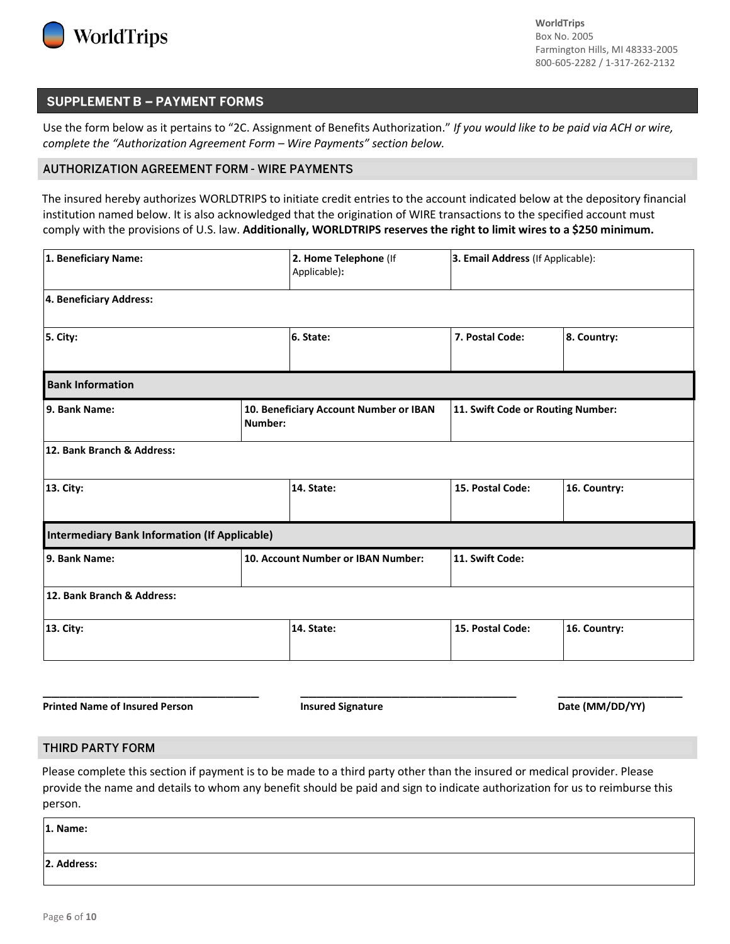

## **SUPPLEMENT B - PAYMENT FORMS**

Use the form below as it pertains to "2C. Assignment of Benefits Authorization." *If you would like to be paid via ACH or wire, complete the "Authorization Agreement Form – Wire Payments" section below.*

#### **AUTHORIZATION AGREEMENT FORM - WIRE PAYMENTS**

The insured hereby authorizes WORLDTRIPS to initiate credit entries to the account indicated below at the depository financial institution named below. It is also acknowledged that the origination of WIRE transactions to the specified account must comply with the provisions of U.S. law. **Additionally, WORLDTRIPS reserves the right to limit wires to a \$250 minimum.**

| 1. Beneficiary Name:                                 | 2. Home Telephone (If<br>Applicable):             | 3. Email Address (If Applicable): |              |  |
|------------------------------------------------------|---------------------------------------------------|-----------------------------------|--------------|--|
| 4. Beneficiary Address:                              |                                                   |                                   |              |  |
| 5. City:                                             | 6. State:                                         | 7. Postal Code:                   | 8. Country:  |  |
| <b>Bank Information</b>                              |                                                   |                                   |              |  |
| 9. Bank Name:                                        | 10. Beneficiary Account Number or IBAN<br>Number: | 11. Swift Code or Routing Number: |              |  |
| 12. Bank Branch & Address:                           |                                                   |                                   |              |  |
| 13. City:                                            | 14. State:                                        | 15. Postal Code:                  | 16. Country: |  |
| <b>Intermediary Bank Information (If Applicable)</b> |                                                   |                                   |              |  |
| 9. Bank Name:                                        | 10. Account Number or IBAN Number:                | 11. Swift Code:                   |              |  |
| 12. Bank Branch & Address:                           |                                                   |                                   |              |  |
| 13. City:                                            | 14. State:                                        | 15. Postal Code:                  | 16. Country: |  |

**Printed Name of Insured Person The Community of Insured Signature Community Community Community Printed Name Of Insured Signature Community Date (MM/DD/YY)** 

#### **THIRD PARTY FORM**

Please complete this section if payment is to be made to a third party other than the insured or medical provider. Please provide the name and details to whom any benefit should be paid and sign to indicate authorization for us to reimburse this person.

\_\_\_\_\_\_\_\_\_\_\_\_\_\_\_\_\_\_\_\_\_\_\_\_\_\_ \_\_\_\_\_\_\_\_\_\_\_\_\_\_\_\_\_\_\_\_\_\_\_\_\_\_ \_\_\_\_\_\_\_\_\_\_\_\_\_\_\_

| 1. Name:    |  |
|-------------|--|
|             |  |
| 2. Address: |  |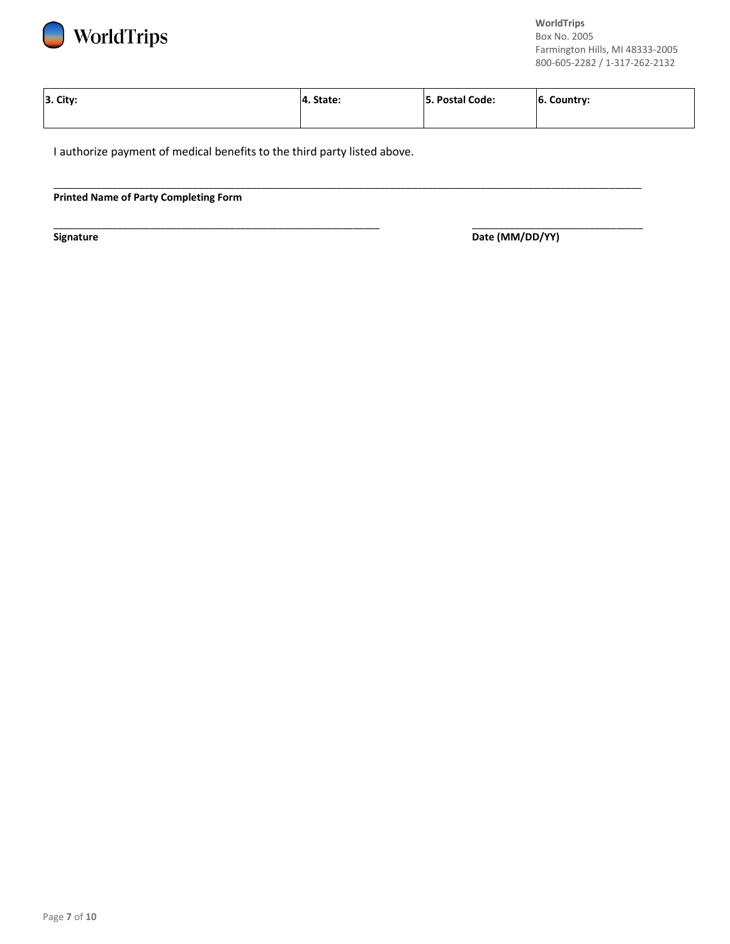

| 3. City: | 4. State: | 5. Postal Code: | 6. Country: |
|----------|-----------|-----------------|-------------|
|          |           |                 |             |

\_\_\_\_\_\_\_\_\_\_\_\_\_\_\_\_\_\_\_\_\_\_\_\_\_\_\_\_\_\_\_\_\_\_\_\_\_\_\_\_\_\_\_\_\_\_\_\_\_\_\_\_\_\_\_\_\_\_\_\_\_\_\_\_\_\_\_\_\_\_\_\_\_\_\_\_\_\_\_\_\_\_\_\_\_\_\_\_\_\_\_\_\_\_\_\_\_\_\_\_\_\_\_\_\_\_\_\_\_\_

\_\_\_\_\_\_\_\_\_\_\_\_\_\_\_\_\_\_\_\_\_\_\_\_\_\_\_\_\_\_\_\_\_\_\_\_\_\_\_\_\_\_\_\_\_\_\_\_\_\_\_\_\_\_\_\_\_\_\_\_\_ \_\_\_\_\_\_\_\_\_\_\_\_\_\_\_\_\_\_\_\_\_\_\_\_\_\_\_\_\_\_\_\_

I authorize payment of medical benefits to the third party listed above.

#### **Printed Name of Party Completing Form**

**Signature** Date (MM/DD/YY)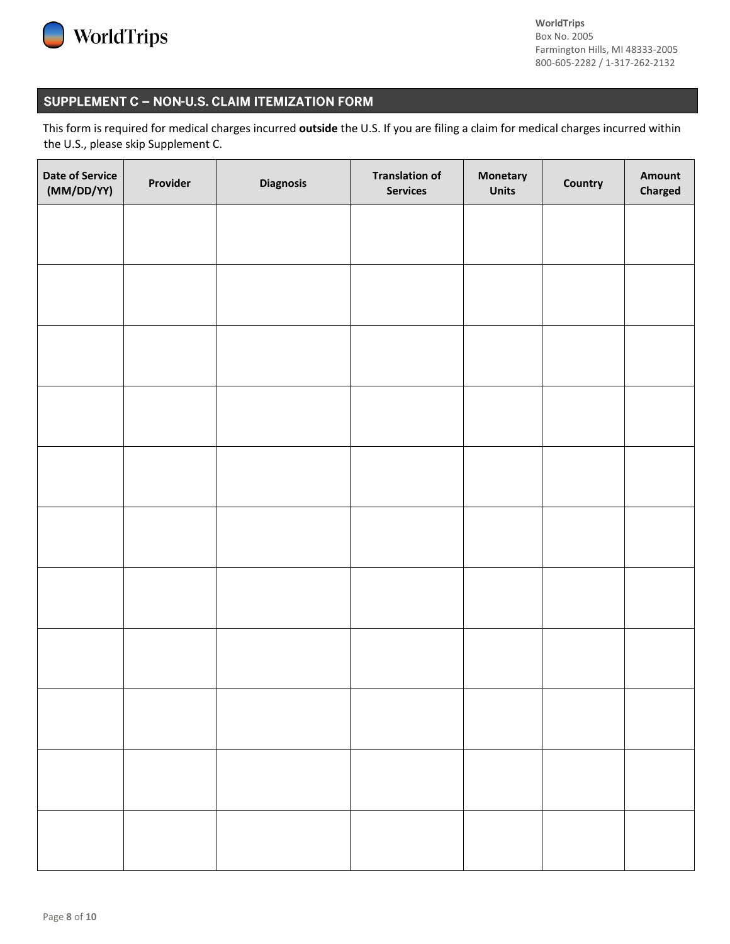

# SUPPLEMENT C - NON-U.S. CLAIM ITEMIZATION FORM

This form is required for medical charges incurred **outside** the U.S. If you are filing a claim for medical charges incurred within the U.S., please skip Supplement C.

| <b>Date of Service</b><br>(MM/DD/YY) | Provider | <b>Diagnosis</b> | <b>Translation of</b><br><b>Services</b> | Monetary<br><b>Units</b> | Country | Amount<br><b>Charged</b> |
|--------------------------------------|----------|------------------|------------------------------------------|--------------------------|---------|--------------------------|
|                                      |          |                  |                                          |                          |         |                          |
|                                      |          |                  |                                          |                          |         |                          |
|                                      |          |                  |                                          |                          |         |                          |
|                                      |          |                  |                                          |                          |         |                          |
|                                      |          |                  |                                          |                          |         |                          |
|                                      |          |                  |                                          |                          |         |                          |
|                                      |          |                  |                                          |                          |         |                          |
|                                      |          |                  |                                          |                          |         |                          |
|                                      |          |                  |                                          |                          |         |                          |
|                                      |          |                  |                                          |                          |         |                          |
|                                      |          |                  |                                          |                          |         |                          |
|                                      |          |                  |                                          |                          |         |                          |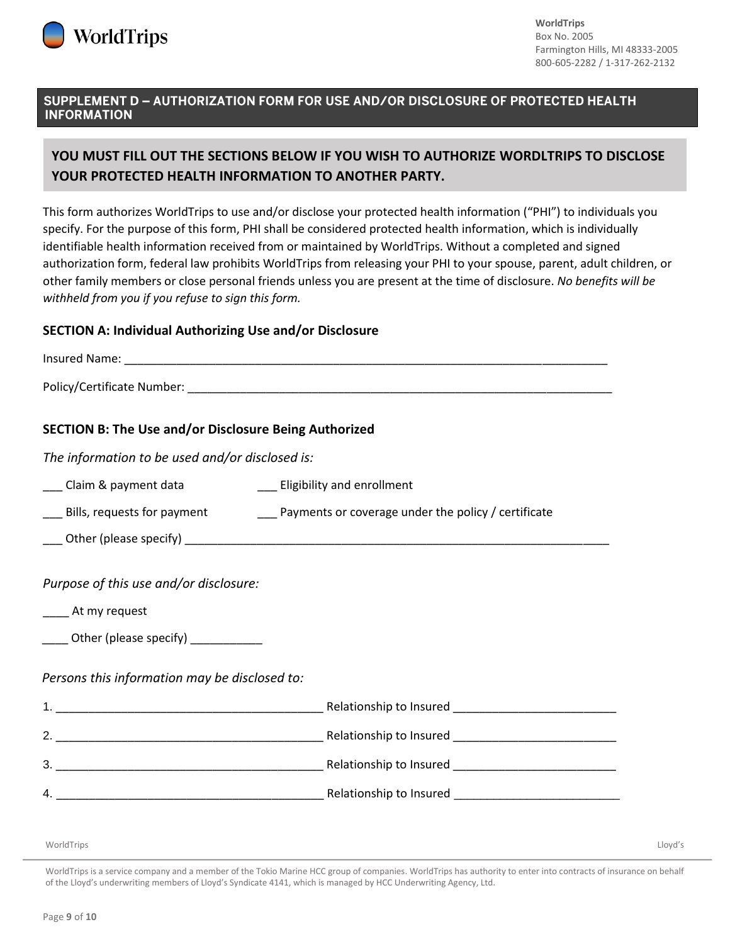

## SUPPLEMENT D - AUTHORIZATION FORM FOR USE AND/OR DISCLOSURE OF PROTECTED HEALTH **INFORMATION**

# **YOU MUST FILL OUT THE SECTIONS BELOW IF YOU WISH TO AUTHORIZE WORDLTRIPS TO DISCLOSE YOUR PROTECTED HEALTH INFORMATION TO ANOTHER PARTY.**

This form authorizes WorldTrips to use and/or disclose your protected health information ("PHI") to individuals you specify. For the purpose of this form, PHI shall be considered protected health information, which is individually identifiable health information received from or maintained by WorldTrips. Without a completed and signed authorization form, federal law prohibits WorldTrips from releasing your PHI to your spouse, parent, adult children, or other family members or close personal friends unless you are present at the time of disclosure. *No benefits will be withheld from you if you refuse to sign this form.*

## **SECTION A: Individual Authorizing Use and/or Disclosure**

| <b>SECTION B: The Use and/or Disclosure Being Authorized</b>                                              |  |
|-----------------------------------------------------------------------------------------------------------|--|
| The information to be used and/or disclosed is:                                                           |  |
| ___ Claim & payment data ___________________ Eligibility and enrollment                                   |  |
|                                                                                                           |  |
|                                                                                                           |  |
| Purpose of this use and/or disclosure:<br>____ At my request<br>_____ Other (please specify) ____________ |  |
| Persons this information may be disclosed to:                                                             |  |
|                                                                                                           |  |
|                                                                                                           |  |
|                                                                                                           |  |
|                                                                                                           |  |
|                                                                                                           |  |

WorldTrips Lloyd's

WorldTrips is a service company and a member of the Tokio Marine HCC group of companies. WorldTrips has authority to enter into contracts of insurance on behalf of the Lloyd's underwriting members of Lloyd's Syndicate 4141, which is managed by HCC Underwriting Agency, Ltd.